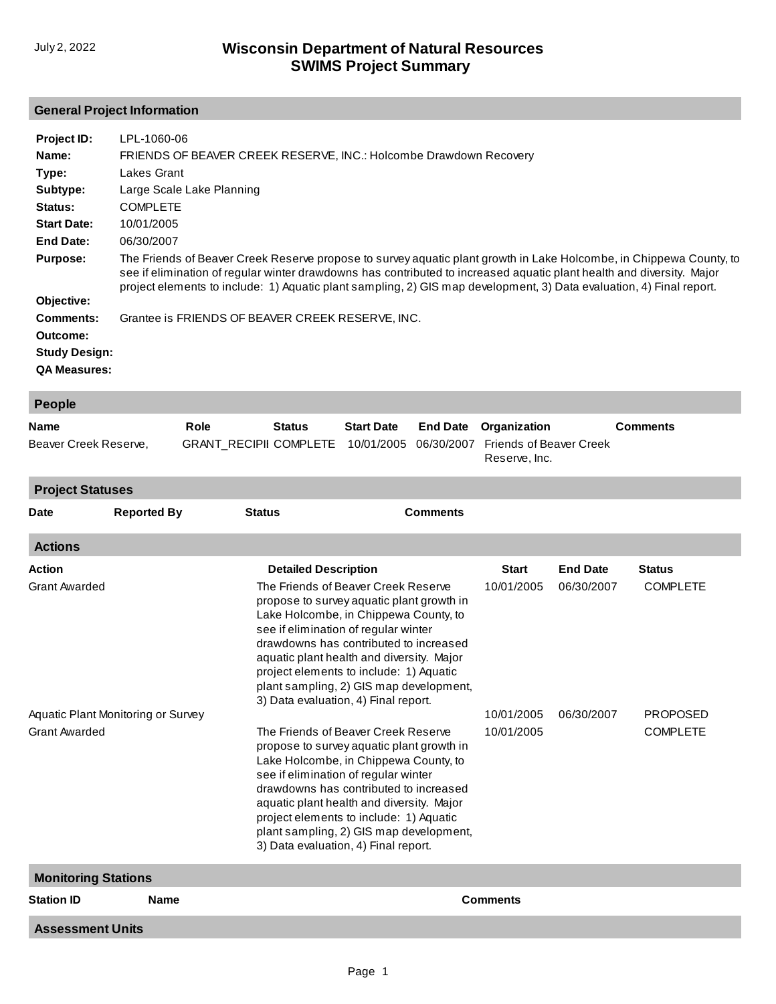## **General Project Information**

**Assessment Units**

| Project ID:          | LPL-1060-06                                                                                                                                                                                                                                                                                                                                                          |
|----------------------|----------------------------------------------------------------------------------------------------------------------------------------------------------------------------------------------------------------------------------------------------------------------------------------------------------------------------------------------------------------------|
| Name:                | FRIENDS OF BEAVER CREEK RESERVE, INC.: Holcombe Drawdown Recovery                                                                                                                                                                                                                                                                                                    |
| Type:                | Lakes Grant                                                                                                                                                                                                                                                                                                                                                          |
| Subtype:             | Large Scale Lake Planning                                                                                                                                                                                                                                                                                                                                            |
| Status:              | <b>COMPLETE</b>                                                                                                                                                                                                                                                                                                                                                      |
| <b>Start Date:</b>   | 10/01/2005                                                                                                                                                                                                                                                                                                                                                           |
| End Date:            | 06/30/2007                                                                                                                                                                                                                                                                                                                                                           |
| <b>Purpose:</b>      | The Friends of Beaver Creek Reserve propose to survey aquatic plant growth in Lake Holcombe, in Chippewa County, to<br>see if elimination of regular winter drawdowns has contributed to increased aguatic plant health and diversity. Major<br>project elements to include: 1) Aquatic plant sampling, 2) GIS map development, 3) Data evaluation, 4) Final report. |
| Objective:           |                                                                                                                                                                                                                                                                                                                                                                      |
| Comments:            | Grantee is FRIENDS OF BEAVER CREEK RESERVE, INC.                                                                                                                                                                                                                                                                                                                     |
| Outcome:             |                                                                                                                                                                                                                                                                                                                                                                      |
| <b>Study Design:</b> |                                                                                                                                                                                                                                                                                                                                                                      |
| <b>QA Measures:</b>  |                                                                                                                                                                                                                                                                                                                                                                      |

| <b>People</b>         |      |               |                   |  |                                                                                       |                 |  |
|-----------------------|------|---------------|-------------------|--|---------------------------------------------------------------------------------------|-----------------|--|
| <b>Name</b>           | Role | <b>Status</b> | <b>Start Date</b> |  | <b>End Date</b> Organization                                                          | <b>Comments</b> |  |
| Beaver Creek Reserve, |      |               |                   |  | GRANT RECIPII COMPLETE 10/01/2005 06/30/2007 Friends of Beaver Creek<br>Reserve. Inc. |                 |  |

| <b>Project Statuses</b> |                                    |                             |                                                                                                                                                                                                                                                                                                                                                                                                      |              |                 |                 |  |
|-------------------------|------------------------------------|-----------------------------|------------------------------------------------------------------------------------------------------------------------------------------------------------------------------------------------------------------------------------------------------------------------------------------------------------------------------------------------------------------------------------------------------|--------------|-----------------|-----------------|--|
| <b>Date</b>             | <b>Reported By</b>                 | <b>Status</b>               | <b>Comments</b>                                                                                                                                                                                                                                                                                                                                                                                      |              |                 |                 |  |
| <b>Actions</b>          |                                    |                             |                                                                                                                                                                                                                                                                                                                                                                                                      |              |                 |                 |  |
| Action                  |                                    | <b>Detailed Description</b> |                                                                                                                                                                                                                                                                                                                                                                                                      | <b>Start</b> | <b>End Date</b> | <b>Status</b>   |  |
| <b>Grant Awarded</b>    |                                    |                             | The Friends of Beaver Creek Reserve<br>propose to survey aquatic plant growth in<br>Lake Holcombe, in Chippewa County, to<br>see if elimination of regular winter<br>drawdowns has contributed to increased<br>aquatic plant health and diversity. Major<br>project elements to include: 1) Aquatic<br>plant sampling, 2) GIS map development,<br>3) Data evaluation, 4) Final report.               |              |                 | <b>COMPLETE</b> |  |
|                         | Aquatic Plant Monitoring or Survey |                             | 10/01/2005                                                                                                                                                                                                                                                                                                                                                                                           | 06/30/2007   | <b>PROPOSED</b> |                 |  |
| <b>Grant Awarded</b>    |                                    |                             | The Friends of Beaver Creek Reserve<br>10/01/2005<br>propose to survey aquatic plant growth in<br>Lake Holcombe, in Chippewa County, to<br>see if elimination of regular winter<br>drawdowns has contributed to increased<br>aquatic plant health and diversity. Major<br>project elements to include: 1) Aquatic<br>plant sampling, 2) GIS map development,<br>3) Data evaluation, 4) Final report. |              |                 | <b>COMPLETE</b> |  |
|                         | <b>Monitoring Stations</b>         |                             |                                                                                                                                                                                                                                                                                                                                                                                                      |              |                 |                 |  |
| <b>Station ID</b>       | <b>Name</b><br><b>Comments</b>     |                             |                                                                                                                                                                                                                                                                                                                                                                                                      |              |                 |                 |  |